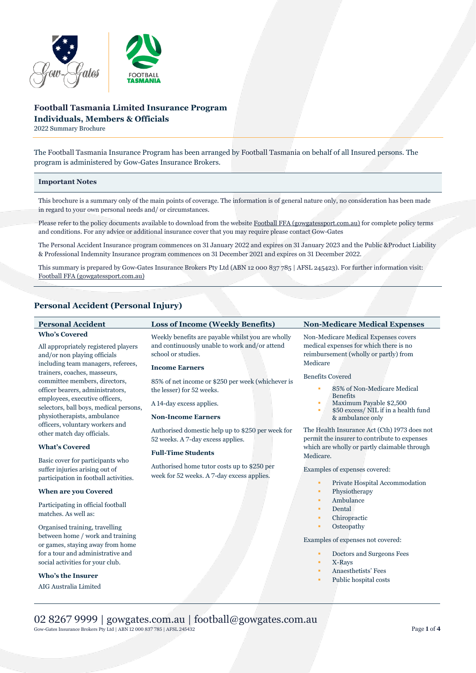

# **Football Tasmania Limited Insurance Program Individuals, Members & Officials**

2022 Summary Brochure

The Football Tasmania Insurance Program has been arranged by Football Tasmania on behalf of all Insured persons. The program is administered by Gow-Gates Insurance Brokers.

### **Important Notes**

This brochure is a summary only of the main points of coverage. The information is of general nature only, no consideration has been made in regard to your own personal needs and/ or circumstances.

Please refer to the policy documents available to download from the websit[e Football FFA \(gowgatessport.com.au\)](https://football.gowgatessport.com.au/) for complete policy terms and conditions. For any advice or additional insurance cover that you may require please contact Gow-Gates

The Personal Accident Insurance program commences on 31 January 2022 and expires on 31 January 2023 and the Public &Product Liability & Professional Indemnity Insurance program commences on 31 December 2021 and expires on 31 December 2022.

This summary is prepared by Gow-Gates Insurance Brokers Pty Ltd (ABN 12 000 837 785 | AFSL 245423). For further information visit: [Football FFA \(gowgatessport.com.au\)](https://football.gowgatessport.com.au/)

## **Personal Accident (Personal Injury)**

| <b>Personal Accident</b>                                                                                    | <b>Loss of Income (Weekly Benefits)</b>                                                                                  | <b>Non-Medicare Medical Expenses</b>                                                                                    |
|-------------------------------------------------------------------------------------------------------------|--------------------------------------------------------------------------------------------------------------------------|-------------------------------------------------------------------------------------------------------------------------|
| <b>Who's Covered</b><br>All appropriately registered players<br>and/or non playing officials                | Weekly benefits are payable whilst you are wholly<br>and continuously unable to work and/or attend<br>school or studies. | Non-Medicare Medical Expenses covers<br>medical expenses for which there is no<br>reimbursement (wholly or partly) from |
| including team managers, referees,<br>trainers, coaches, masseurs,                                          | <b>Income Earners</b>                                                                                                    | Medicare<br><b>Benefits Covered</b>                                                                                     |
| committee members, directors,<br>officer bearers, administrators,<br>employees, executive officers,         | 85% of net income or \$250 per week (whichever is<br>the lesser) for 52 weeks.                                           | 85% of Non-Medicare Medical<br><b>Benefits</b>                                                                          |
| selectors, ball boys, medical persons,<br>physiotherapists, ambulance                                       | A 14-day excess applies.<br><b>Non-Income Earners</b>                                                                    | Maximum Payable \$2,500<br>٠<br>\$50 excess/ NIL if in a health fund<br>٠<br>& ambulance only                           |
| officers, voluntary workers and<br>other match day officials.                                               | Authorised domestic help up to \$250 per week for<br>52 weeks. A 7-day excess applies.                                   | The Health Insurance Act (Cth) 1973 does not<br>permit the insurer to contribute to expenses                            |
| <b>What's Covered</b>                                                                                       | <b>Full-Time Students</b>                                                                                                | which are wholly or partly claimable through<br>Medicare.                                                               |
| Basic cover for participants who<br>suffer injuries arising out of<br>participation in football activities. | Authorised home tutor costs up to \$250 per<br>week for 52 weeks. A 7-day excess applies.                                | Examples of expenses covered:<br>Private Hospital Accommodation                                                         |
| <b>When are you Covered</b>                                                                                 |                                                                                                                          | Physiotherapy<br>٠                                                                                                      |
| Participating in official football                                                                          |                                                                                                                          | Ambulance<br>Dontol                                                                                                     |

matches. As well as:

Organised training, travelling between home / work and training or games, staying away from home for a tour and administrative and social activities for your club.

**Who's the Insurer** AIG Australia Limited

- **Dental**
- Chiropractic
- **Osteopathy**

Examples of expenses not covered:

- Doctors and Surgeons Fees
- X-Rays
- Anaesthetists' Fees
- Public hospital costs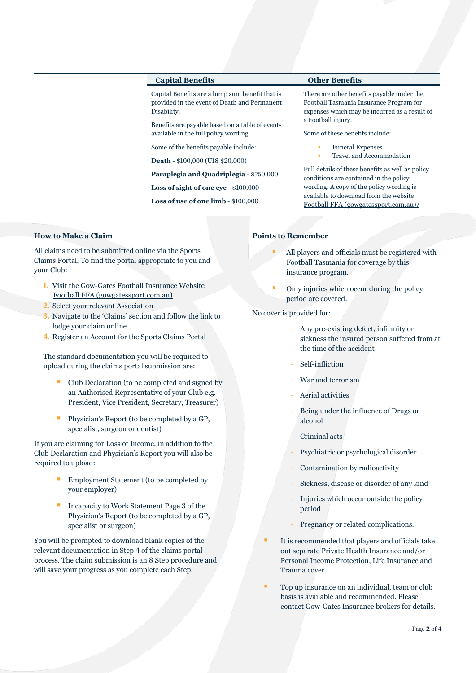### **Capital Benefits Other Benefits**

Capital Benefits are a lump sum benefit that is provided in the event of Death and Permanent Disability.

Benefits are payable based on a table of events available in the full policy wording.

Some of the benefits payable include:

**Death** - \$100,000 (U18 \$20,000)

**Paraplegia and Quadriplegia** - \$750,000

**Loss of sight of one eye** - \$100,000

**Loss of use of one limb** - \$100,000

There are other benefits payable under the Football Tasmania Insurance Program for expenses which may be incurred as a result of a Football injury.

Some of these benefits include:

- **Funeral Expenses**
- Travel and Accommodation

Full details of these benefits as well as policy conditions are contained in the policy wording. A copy of the policy wording is available to download from the website [Football FFA \(gowgatessport.com.au\)/](https://football.gowgatessport.com.au/)

## **How to Make a Claim**

All claims need to be submitted online via the Sports Claims Portal. To find the portal appropriate to you and your Club:

- **1.** Visit the Gow-Gates Football Insurance Website [Football FFA \(gowgatessport.com.au\)](https://football.gowgatessport.com.au/)
- **2.** Select your relevant Association
- **3.** Navigate to the 'Claims' section and follow the link to lodge your claim online
- **4.** Register an Account for the Sports Claims Portal

The standard documentation you will be required to upload during the claims portal submission are:

- Club Declaration (to be completed and signed by an Authorised Representative of your Club e.g. President, Vice President, Secretary, Treasurer)
- Physician's Report (to be completed by a GP, specialist, surgeon or dentist)

If you are claiming for Loss of Income, in addition to the Club Declaration and Physician's Report you will also be required to upload:

- Employment Statement (to be completed by your employer)
- Incapacity to Work Statement Page 3 of the Physician's Report (to be completed by a GP, specialist or surgeon)

You will be prompted to download blank copies of the relevant documentation in Step 4 of the claims portal process. The claim submission is an 8 Step procedure and will save your progress as you complete each Step.

### **Points to Remember**

- All players and officials must be registered with Football Tasmania for coverage by this insurance program.
- Only injuries which occur during the policy period are covered.

No cover is provided for:

- Any pre-existing defect, infirmity or sickness the insured person suffered from at the time of the accident
- Self-infliction
- War and terrorism
- Aerial activities
- Being under the influence of Drugs or alcohol
- Criminal acts
- Psychiatric or psychological disorder
- Contamination by radioactivity
- Sickness, disease or disorder of any kind
- Injuries which occur outside the policy period
- Pregnancy or related complications.
- It is recommended that players and officials take out separate Private Health Insurance and/or Personal Income Protection, Life Insurance and Trauma cover.
- Top up insurance on an individual, team or club basis is available and recommended. Please contact Gow-Gates Insurance brokers for details.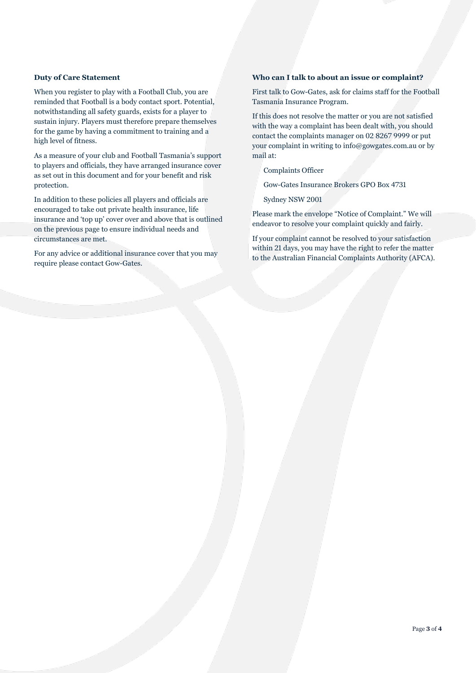## **Duty of Care Statement**

When you register to play with a Football Club, you are reminded that Football is a body contact sport. Potential, notwithstanding all safety guards, exists for a player to sustain injury. Players must therefore prepare themselves for the game by having a commitment to training and a high level of fitness.

As a measure of your club and Football Tasmania's support to players and officials, they have arranged insurance cover as set out in this document and for your benefit and risk protection.

In addition to these policies all players and officials are encouraged to take out private health insurance, life insurance and 'top up' cover over and above that is outlined on the previous page to ensure individual needs and circumstances are met.

For any advice or additional insurance cover that you may require please contact Gow-Gates.

## **Who can I talk to about an issue or complaint?**

First talk to Gow-Gates, ask for claims staff for the Football Tasmania Insurance Program.

If this does not resolve the matter or you are not satisfied with the way a complaint has been dealt with, you should contact the complaints manager on 02 8267 9999 or put your complaint in writing to info@gowgates.com.au or by mail at:

Complaints Officer

Gow-Gates Insurance Brokers GPO Box 4731

Sydney NSW 2001

Please mark the envelope "Notice of Complaint." We will endeavor to resolve your complaint quickly and fairly.

If your complaint cannot be resolved to your satisfaction within 21 days, you may have the right to refer the matter to the Australian Financial Complaints Authority (AFCA).